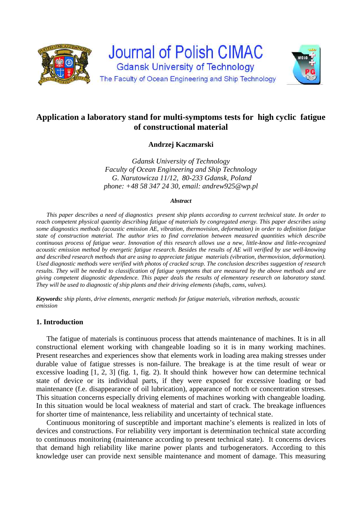

# **Application a laboratory stand for multi-symptoms tests for high cyclic fatigue of constructional material**

**Andrzej Kaczmarski** 

*Gdansk University of Technology Faculty of Ocean Engineering and Ship Technology G. Narutowicza 11/12, 80-233 Gdansk, Poland phone: +48 58 347 24 30, email: andrew925@wp.pl* 

#### *Abstract*

*This paper describes a need of diagnostics present ship plants according to current technical state. In order to reach competent physical quantity describing fatigue of materials by congregated energy. This paper describes using some diagnostics methods (acoustic emission AE, vibration, thermovision, deformation) in order to definition fatigue state of construction material. The author tries to find correlation between measured quantities which describe continuous process of fatigue wear. Innovation of this research allows use a new, little-know and little-recognized acoustic emission method by energetic fatigue research. Besides the results of AE will verified by use well-knowing and described research methods that are using to appreciate fatigue materials (vibration, thermovision, deformation). Used diagnostic methods were verified with photos of cracked scrap. The conclusion describes suggestion of research results. They will be needed to classification of fatigue symptoms that are measured by the above methods and are giving competent diagnostic dependence. This paper deals the results of elementary research on laboratory stand. They will be used to diagnostic of ship plants and their driving elements (shafts, cams, valves).* 

*Keywords: ship plants, drive elements, energetic methods for fatigue materials, vibration methods, acoustic emission*

### **1. Introduction**

The fatigue of materials is continuous process that attends maintenance of machines. It is in all constructional element working with changeable loading so it is in many working machines. Present researches and experiences show that elements work in loading area making stresses under durable value of fatigue stresses is non-failure. The breakage is at the time result of wear or excessive loading [1, 2, 3] (fig. 1, fig. 2). It should think however how can determine technical state of device or its individual parts, if they were exposed for excessive loading or bad maintenance (f.e. disappearance of oil lubrication), appearance of notch or concentration stresses. This situation concerns especially driving elements of machines working with changeable loading. In this situation would be local weakness of material and start of crack. The breakage influences for shorter time of maintenance, less reliability and uncertainty of technical state.

Continuous monitoring of susceptible and important machine's elements is realized in lots of devices and constructions. For reliability very important is determination technical state according to continuous monitoring (maintenance according to present technical state). It concerns devices that demand high reliability like marine power plants and turbogenerators. According to this knowledge user can provide next sensible maintenance and moment of damage. This measuring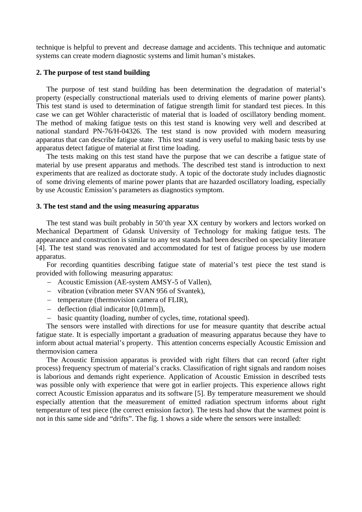technique is helpful to prevent and decrease damage and accidents. This technique and automatic systems can create modern diagnostic systems and limit human's mistakes.

### **2. The purpose of test stand building**

The purpose of test stand building has been determination the degradation of material's property (especially constructional materials used to driving elements of marine power plants). This test stand is used to determination of fatigue strength limit for standard test pieces. In this case we can get Wöhler characteristic of material that is loaded of oscillatory bending moment. The method of making fatigue tests on this test stand is knowing very well and described at national standard PN-76/H-04326. The test stand is now provided with modern measuring apparatus that can describe fatigue state. This test stand is very useful to making basic tests by use apparatus detect fatigue of material at first time loading.

The tests making on this test stand have the purpose that we can describe a fatigue state of material by use present apparatus and methods. The described test stand is introduction to next experiments that are realized as doctorate study. A topic of the doctorate study includes diagnostic of some driving elements of marine power plants that are hazarded oscillatory loading, especially by use Acoustic Emission's parameters as diagnostics symptom.

### **3. The test stand and the using measuring apparatus**

The test stand was built probably in 50'th year XX century by workers and lectors worked on Mechanical Department of Gdansk University of Technology for making fatigue tests. The appearance and construction is similar to any test stands had been described on speciality literature [4]. The test stand was renovated and accommodated for test of fatigue process by use modern apparatus.

For recording quantities describing fatigue state of material's test piece the test stand is provided with following measuring apparatus:

- Acoustic Emission (AE-system AMSY-5 of Vallen),
- vibration (vibration meter SVAN 956 of Svantek),
- temperature (thermovision camera of FLIR),
- $-$  deflection (dial indicator [0,01mm]),
- basic quantity (loading, number of cycles, time, rotational speed).

The sensors were installed with directions for use for measure quantity that describe actual fatigue state. It is especially important a graduation of measuring apparatus because they have to inform about actual material's property. This attention concerns especially Acoustic Emission and thermovision camera

The Acoustic Emission apparatus is provided with right filters that can record (after right process) frequency spectrum of material's cracks. Classification of right signals and random noises is laborious and demands right experience. Application of Acoustic Emission in described tests was possible only with experience that were got in earlier projects. This experience allows right correct Acoustic Emission apparatus and its software [5]. By temperature measurement we should especially attention that the measurement of emitted radiation spectrum informs about right temperature of test piece (the correct emission factor). The tests had show that the warmest point is not in this same side and "drifts". The fig. 1 shows a side where the sensors were installed: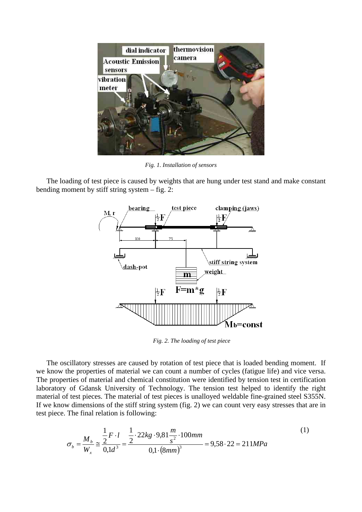

*Fig. 1. Installation of sensors* 

The loading of test piece is caused by weights that are hung under test stand and make constant bending moment by stiff string system – fig. 2:



*Fig. 2. The loading of test piece* 

The oscillatory stresses are caused by rotation of test piece that is loaded bending moment. If we know the properties of material we can count a number of cycles (fatigue life) and vice versa. The properties of material and chemical constitution were identified by tension test in certification laboratory of Gdansk University of Technology. The tension test helped to identify the right material of test pieces. The material of test pieces is unalloyed weldable fine-grained steel S355N. If we know dimensions of the stiff string system (fig. 2) we can count very easy stresses that are in test piece. The final relation is following:

$$
\sigma_b = \frac{M_b}{W_x} \approx \frac{\frac{1}{2}F \cdot l}{0.1d^3} = \frac{\frac{1}{2} \cdot 22kg \cdot 9.81 \frac{m}{s^2} \cdot 100mm}{0.1 \cdot (8mm)^3} = 9.58 \cdot 22 = 211 MPa
$$
\n(1)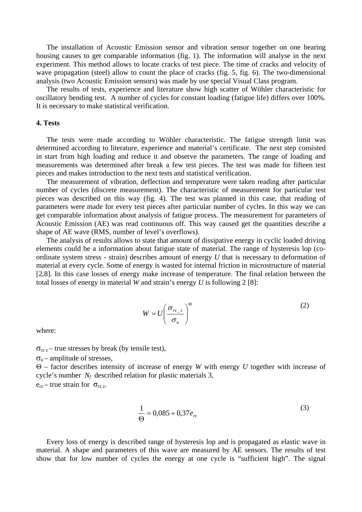The installation of Acoustic Emission sensor and vibration sensor together on one bearing housing causes to get comparable information (fig. 1). The information will analyse in the next experiment. This method allows to locate cracks of test piece. The time of cracks and velocity of wave propagation (steel) allow to count the place of cracks (fig. 5, fig. 6). The two-dimensional analysis (two Acoustic Emission sensors) was made by use special Visual Class program.

The results of tests, experience and literature show high scatter of Wöhler characteristic for oscillatory bending test. A number of cycles for constant loading (fatigue life) differs over 100%. It is necessary to make statistical verification.

#### **4. Tests**

The tests were made according to Wöhler characteristic. The fatigue strength limit was determined according to literature, experience and material's certificate. The next step consisted in start from high loading and reduce it and observe the parameters. The range of loading and measurements was determined after break a few test pieces. The test was made for fifteen test pieces and makes introduction to the next tests and statistical verification.

The measurement of vibration, deflection and temperature were taken reading after particular number of cycles (discrete measurement). The characteristic of measurement for particular test pieces was described on this way (fig. 4). The test was planned in this case, that reading of parameters were made for every test pieces after particular number of cycles. In this way we can get comparable information about analysis of fatigue process. The measurement for parameters of Acoustic Emission (AE) was read continuous off. This way caused get the quantities describe a shape of AE wave (RMS, number of level's overflows).

The analysis of results allows to state that amount of dissipative energy in cyclic loaded driving elements could be a information about fatigue state of material. The range of hysteresis lop (coordinate system stress - strain) describes amount of energy *U* that is necessary to deformation of material at every cycle. Some of energy is wasted for internal friction in microstructure of material [2,8]. In this case losses of energy make increase of temperature. The final relation between the total losses of energy in material *W* and strain's energy *U* is following 2 [8]:

$$
W = U \left(\frac{\sigma_{r_{z}}}{\sigma_a}\right)^{\Theta} \tag{2}
$$

where:

 $\sigma_{\text{rz }z}$  – true stresses by break (by tensile test),

 $\sigma_{a}$  – amplitude of stresses,

Θ – factor describes intensity of increase of energy *W* with energy *U* together with increase of cycle's number *Nf* described relation for plastic materials 3,

 $e_{rz}$  – true strain for  $\sigma_{rz}$ .

$$
\frac{1}{\Theta} = 0.085 + 0.37 e_{r_z}
$$
 (3)

Every loss of energy is described range of hysteresis lop and is propagated as elastic wave in material. A shape and parameters of this wave are measured by AE sensors. The results of test show that for low number of cycles the energy at one cycle is "sufficient high". The signal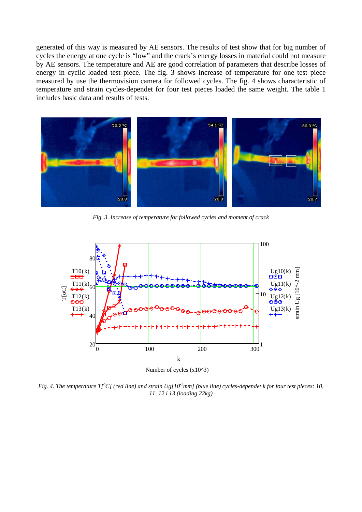generated of this way is measured by AE sensors. The results of test show that for big number of cycles the energy at one cycle is "low" and the crack's energy losses in material could not measure by AE sensors. The temperature and AE are good correlation of parameters that describe losses of energy in cyclic loaded test piece. The fig. 3 shows increase of temperature for one test piece measured by use the thermovision camera for followed cycles. The fig. 4 shows characteristic of temperature and strain cycles-dependet for four test pieces loaded the same weight. The table 1 includes basic data and results of tests.



*Fig. 3. Increase of temperature for followed cycles and moment of crack* 



Number of cycles (x10^3)

*Fig. 4. The temperature T*[<sup>o</sup>C] (red line) and strain Ug[10<sup>-2</sup>mm] (blue line) cycles-dependet k for four test pieces: 10, *11, 12 i 13 (loading 22kg)*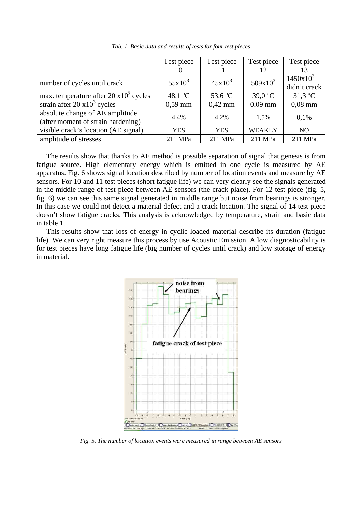|                                                | Test piece        | Test piece                | Test piece        | Test piece        |
|------------------------------------------------|-------------------|---------------------------|-------------------|-------------------|
|                                                | 10                | 11                        | 12                | 13                |
| number of cycles until crack                   | $55x10^3$         | $45x10^3$                 | $509x10^3$        | $1450x10^3$       |
|                                                |                   |                           |                   | didn't crack      |
| max. temperature after $20 \times 10^3$ cycles | 48,1 $^{\circ}$ C | 53,6 $\mathrm{^{\circ}C}$ | 39,0 $^{\circ}$ C | $31.3 \text{ °C}$ |
| strain after $20 \times 10^3$ cycles           | $0,59$ mm         | $0,42$ mm                 | $0.09$ mm         | $0,08$ mm         |
| absolute change of AE amplitude                | 4,4%              | 4,2%                      | 1,5%              | 0.1%              |
| (after moment of strain hardening)             |                   |                           |                   |                   |
| visible crack's location (AE signal)           | <b>YES</b>        | <b>YES</b>                | <b>WEAKLY</b>     | N <sub>O</sub>    |
| amplitude of stresses                          | 211 MPa           | 211 MPa                   | 211 MPa           | 211 MPa           |

*Tab. 1. Basic data and results of tests for four test pieces* 

The results show that thanks to AE method is possible separation of signal that genesis is from fatigue source. High elementary energy which is emitted in one cycle is measured by AE apparatus. Fig. 6 shows signal location described by number of location events and measure by AE sensors. For 10 and 11 test pieces (short fatigue life) we can very clearly see the signals generated in the middle range of test piece between AE sensors (the crack place). For 12 test piece (fig. 5, fig. 6) we can see this same signal generated in middle range but noise from bearings is stronger. In this case we could not detect a material defect and a crack location. The signal of 14 test piece doesn't show fatigue cracks. This analysis is acknowledged by temperature, strain and basic data in table 1.

This results show that loss of energy in cyclic loaded material describe its duration (fatigue life). We can very right measure this process by use Acoustic Emission. A low diagnosticability is for test pieces have long fatigue life (big number of cycles until crack) and low storage of energy in material.



*Fig. 5. The number of location events were measured in range between AE sensors*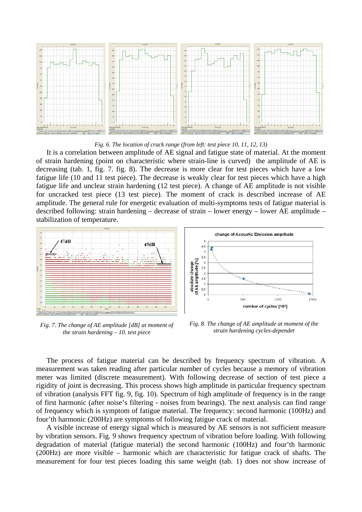

*Fig. 6. The location of crack range (from left: test piece 10, 11, 12, 13)* 

It is a correlation between amplitude of AE signal and fatigue state of material. At the moment of strain hardening (point on characteristic where strain-line is curved) the amplitude of AE is decreasing (tab. 1, fig. 7. fig. 8). The decrease is more clear for test pieces which have a low fatigue life (10 and 11 test piece). The decrease is weakly clear for test pieces which have a high fatigue life and unclear strain hardening (12 test piece). A change of AE amplitude is not visible for uncracked test piece (13 test piece). The moment of crack is described increase of AE amplitude. The general rule for energetic evaluation of multi-symptoms tests of fatigue material is described following: strain hardening – decrease of strain – lower energy – lower AE amplitude – stabilization of temperature.



*Fig. 7. The change of AE amplitude [dB] at moment of the strain hardening – 10. test piece*

*Fig. 8. The change of AE amplitude at moment of the strain hardening cycles-dependet*

The process of fatigue material can be described by frequency spectrum of vibration. A measurement was taken reading after particular number of cycles because a memory of vibration meter was limited (discrete measurement). With following decrease of section of test piece a rigidity of joint is decreasing. This process shows high amplitude in particular frequency spectrum of vibration (analysis FFT fig. 9, fig. 10). Spectrum of high amplitude of frequency is in the range of first harmonic (after noise's filtering - noises from bearings). The next analysis can find range of frequency which is symptom of fatigue material. The frequency: second harmonic (100Hz) and four'th harmonic (200Hz) are symptoms of following fatigue crack of material.

A visible increase of energy signal which is measured by AE sensors is not sufficient measure by vibration sensors. Fig. 9 shows frequency spectrum of vibration before loading. With following degradation of material (fatigue material) the second harmonic (100Hz) and four'th harmonic (200Hz) are more visible – harmonic which are characteristic for fatigue crack of shafts. The measurement for four test pieces loading this same weight (tab. 1) does not show increase of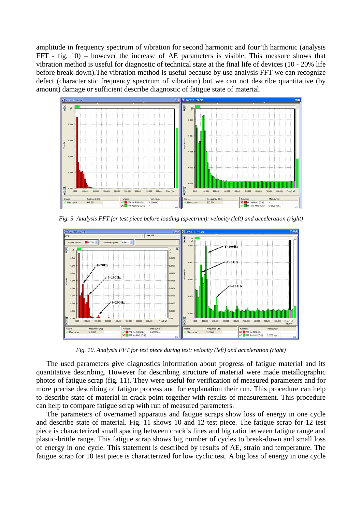amplitude in frequency spectrum of vibration for second harmonic and four'th harmonic (analysis FFT - fig. 10) – however the increase of AE parameters is visible. This measure shows that vibration method is useful for diagnostic of technical state at the final life of devices (10 - 20% life before break-down).The vibration method is useful because by use analysis FFT we can recognize defect (characteristic frequency spectrum of vibration) but we can not describe quantitative (by amount) damage or sufficient describe diagnostic of fatigue state of material.



*Fig. 9. Analysis FFT for test piece before loading (spectrum): velocity (left) and acceleration (right)* 



*Fig. 10. Analysis FFT for test piece during test: velocity (left) and acceleration (right)* 

The used parameters give diagnostics information about progress of fatigue material and its quantitative describing. However for describing structure of material were made metallographic photos of fatigue scrap (fig. 11). They were useful for verification of measured parameters and for more precise describing of fatigue process and for explanation their run. This procedure can help to describe state of material in crack point together with results of measurement. This procedure can help to compare fatigue scrap with run of measured parameters.

The parameters of overnamed apparatus and fatigue scraps show loss of energy in one cycle and describe state of material. Fig. 11 shows 10 and 12 test piece. The fatigue scrap for 12 test piece is characterized small spacing between crack's lines and big ratio between fatigue range and plastic-brittle range. This fatigue scrap shows big number of cycles to break-down and small loss of energy in one cycle. This statement is described by results of AE, strain and temperature. The fatigue scrap for 10 test piece is characterized for low cyclic test. A big loss of energy in one cycle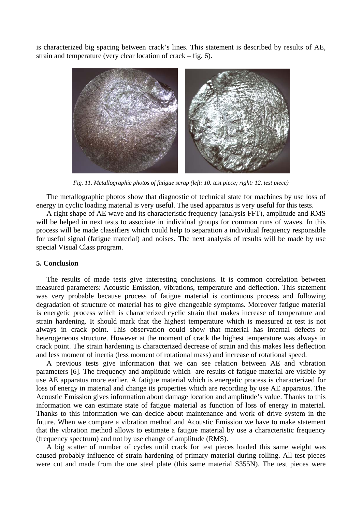is characterized big spacing between crack's lines. This statement is described by results of AE, strain and temperature (very clear location of crack – fig. 6).



*Fig. 11. Metallographic photos of fatigue scrap (left: 10. test piece; right: 12. test piece)* 

The metallographic photos show that diagnostic of technical state for machines by use loss of energy in cyclic loading material is very useful. The used apparatus is very useful for this tests.

A right shape of AE wave and its characteristic frequency (analysis FFT), amplitude and RMS will be helped in next tests to associate in individual groups for common runs of waves. In this process will be made classifiers which could help to separation a individual frequency responsible for useful signal (fatigue material) and noises. The next analysis of results will be made by use special Visual Class program.

## **5. Conclusion**

The results of made tests give interesting conclusions. It is common correlation between measured parameters: Acoustic Emission, vibrations, temperature and deflection. This statement was very probable because process of fatigue material is continuous process and following degradation of structure of material has to give changeable symptoms. Moreover fatigue material is energetic process which is characterized cyclic strain that makes increase of temperature and strain hardening. It should mark that the highest temperature which is measured at test is not always in crack point. This observation could show that material has internal defects or heterogeneous structure. However at the moment of crack the highest temperature was always in crack point. The strain hardening is characterized decrease of strain and this makes less deflection and less moment of inertia (less moment of rotational mass) and increase of rotational speed.

A previous tests give information that we can see relation between AE and vibration parameters [6]. The frequency and amplitude which are results of fatigue material are visible by use AE apparatus more earlier. A fatigue material which is energetic process is characterized for loss of energy in material and change its properties which are recording by use AE apparatus. The Acoustic Emission gives information about damage location and amplitude's value. Thanks to this information we can estimate state of fatigue material as function of loss of energy in material. Thanks to this information we can decide about maintenance and work of drive system in the future. When we compare a vibration method and Acoustic Emission we have to make statement that the vibration method allows to estimate a fatigue material by use a characteristic frequency (frequency spectrum) and not by use change of amplitude (RMS).

A big scatter of number of cycles until crack for test pieces loaded this same weight was caused probably influence of strain hardening of primary material during rolling. All test pieces were cut and made from the one steel plate (this same material S355N). The test pieces were